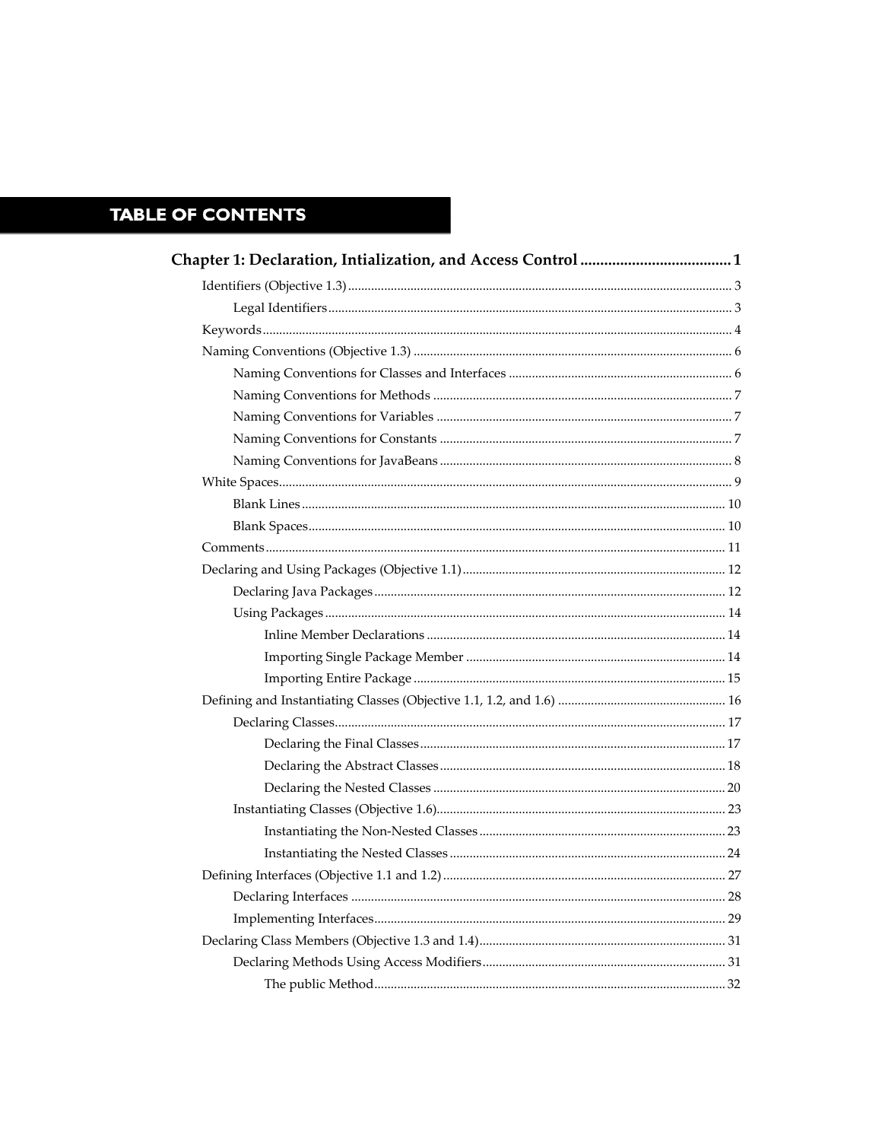## **TABLE OF CONTENTS**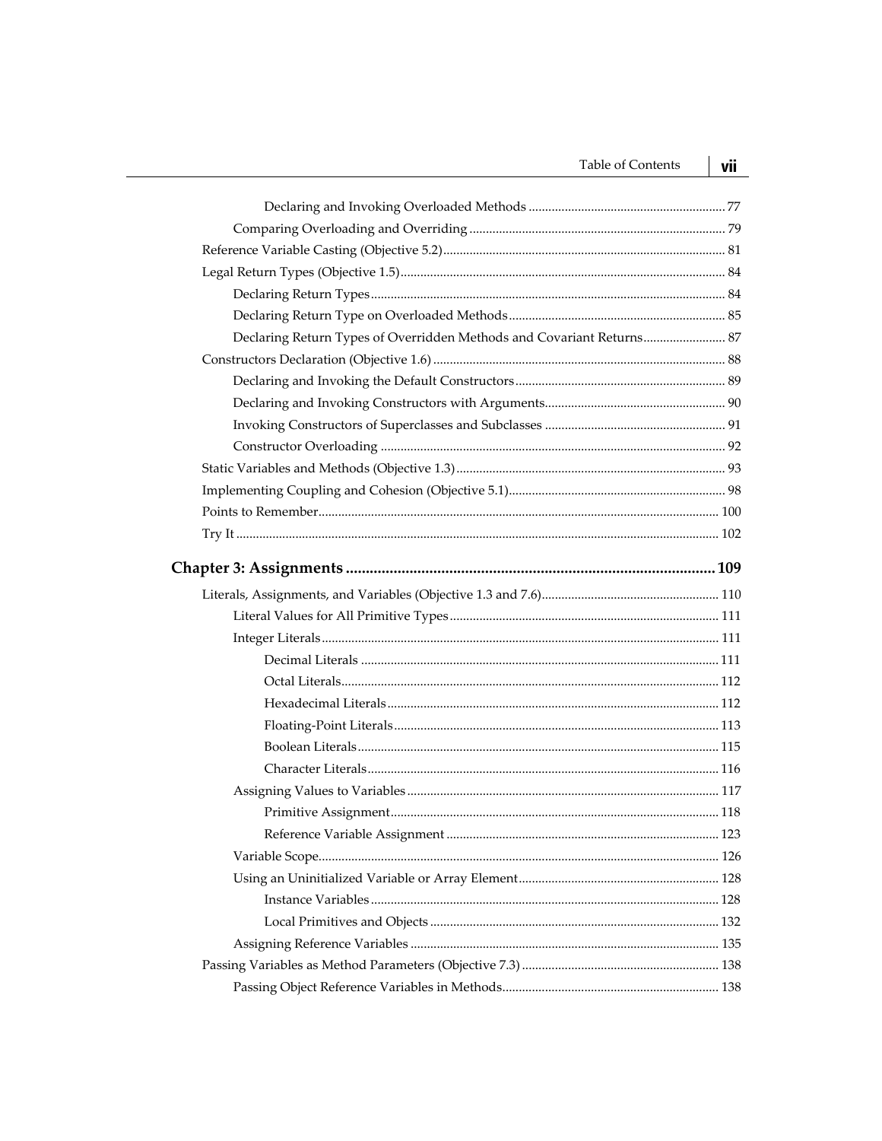| <b>Table of Contents</b>                                              | vii |
|-----------------------------------------------------------------------|-----|
|                                                                       |     |
|                                                                       |     |
|                                                                       |     |
|                                                                       |     |
|                                                                       |     |
|                                                                       |     |
| Declaring Return Types of Overridden Methods and Covariant Returns 87 |     |
|                                                                       |     |
|                                                                       |     |
|                                                                       |     |
|                                                                       |     |
|                                                                       |     |
|                                                                       |     |
|                                                                       |     |
|                                                                       |     |
|                                                                       |     |
|                                                                       |     |
|                                                                       |     |
|                                                                       |     |
|                                                                       |     |
|                                                                       |     |
|                                                                       |     |
|                                                                       |     |
|                                                                       |     |
|                                                                       |     |
|                                                                       |     |
|                                                                       |     |
|                                                                       |     |
|                                                                       |     |
|                                                                       |     |
|                                                                       |     |
|                                                                       |     |
|                                                                       |     |
|                                                                       |     |
|                                                                       |     |
|                                                                       |     |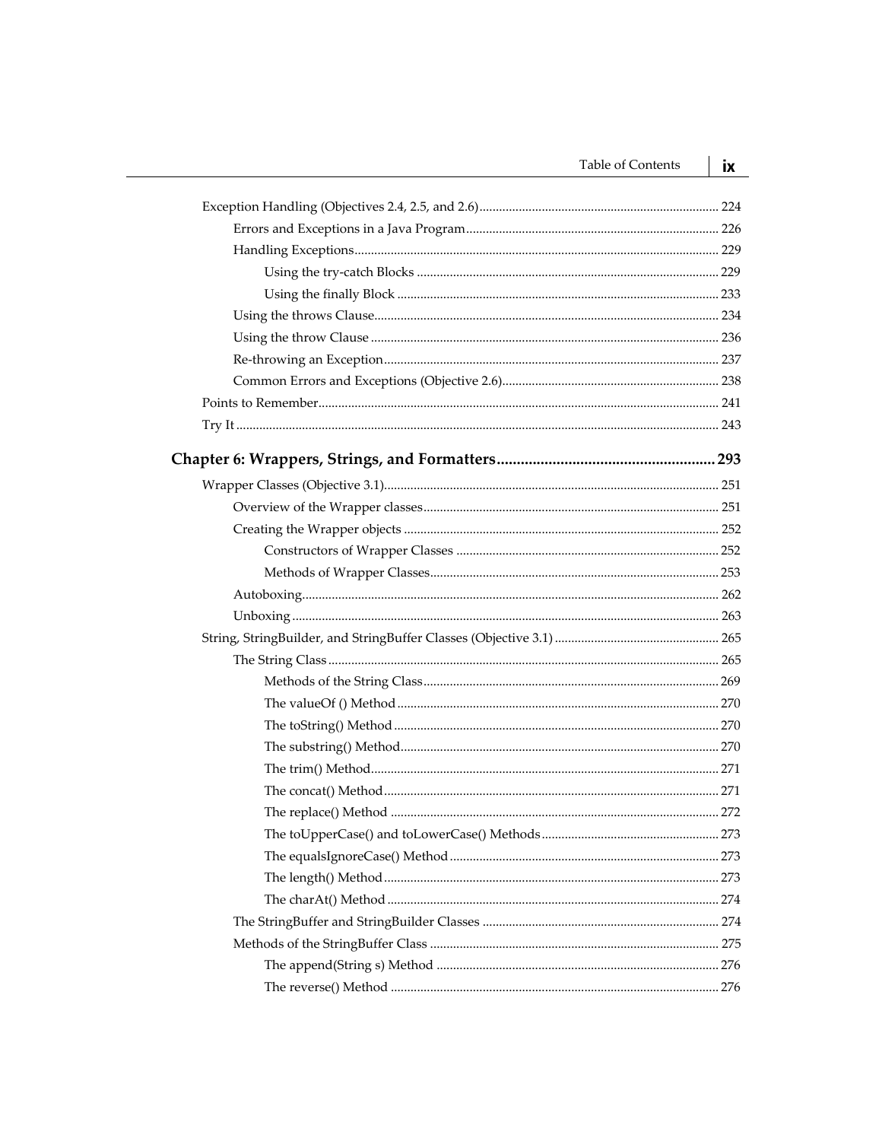| Table of Contents | iх |
|-------------------|----|
|                   |    |
|                   |    |
|                   |    |
|                   |    |
|                   |    |
|                   |    |
|                   |    |
|                   |    |
|                   |    |
|                   |    |
|                   |    |
|                   |    |
|                   |    |
|                   |    |
|                   |    |
|                   |    |
|                   |    |
|                   |    |
|                   |    |
|                   |    |
|                   |    |
|                   |    |
|                   |    |
|                   |    |
|                   |    |
|                   |    |
|                   |    |
|                   |    |
|                   |    |
|                   |    |
|                   |    |
|                   |    |
|                   |    |
|                   |    |
|                   |    |
|                   |    |
|                   |    |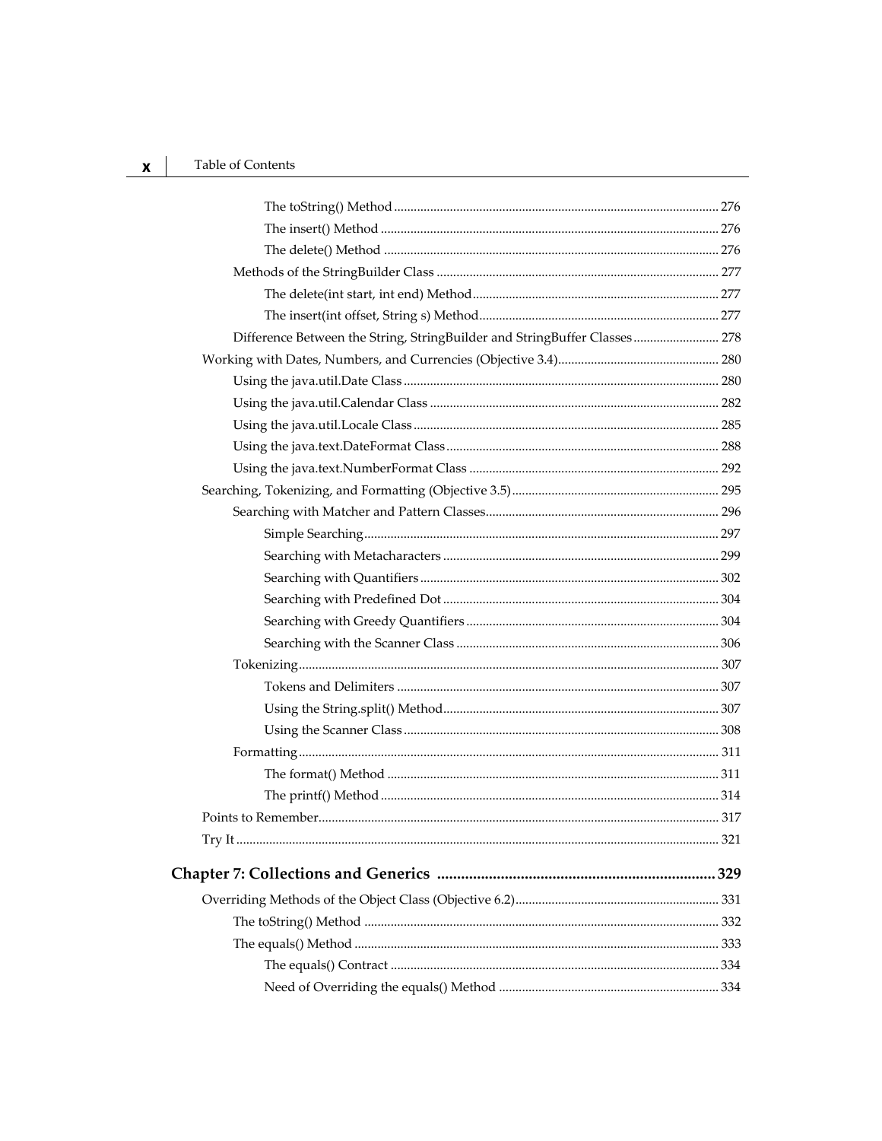## Table of Contents

| Difference Between the String, StringBuilder and StringBuffer Classes 278 |     |
|---------------------------------------------------------------------------|-----|
|                                                                           |     |
|                                                                           |     |
|                                                                           |     |
|                                                                           |     |
|                                                                           |     |
|                                                                           |     |
|                                                                           |     |
|                                                                           |     |
|                                                                           |     |
|                                                                           |     |
|                                                                           |     |
|                                                                           |     |
|                                                                           |     |
|                                                                           |     |
|                                                                           |     |
|                                                                           |     |
|                                                                           |     |
|                                                                           |     |
|                                                                           |     |
|                                                                           |     |
|                                                                           |     |
|                                                                           |     |
|                                                                           |     |
|                                                                           | 329 |
|                                                                           |     |
|                                                                           |     |
|                                                                           |     |
|                                                                           |     |
|                                                                           |     |
|                                                                           |     |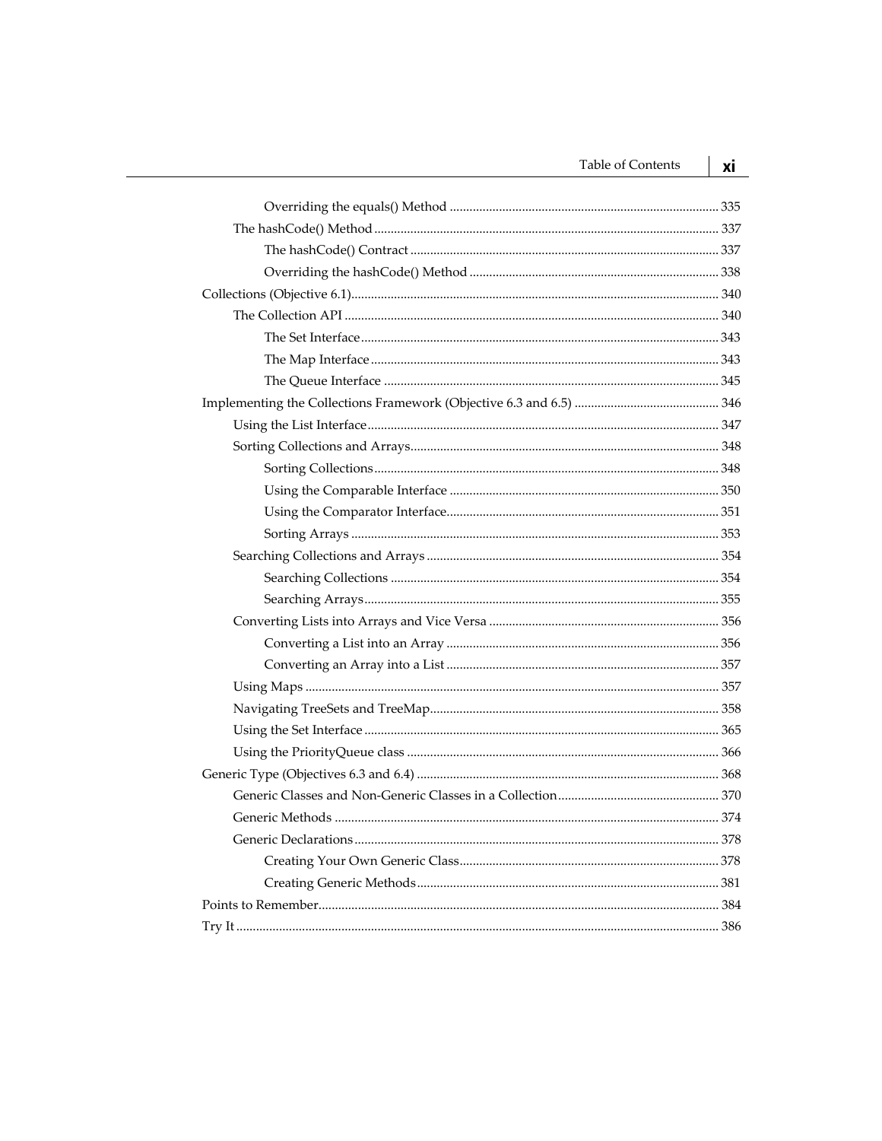| <b>Table of Contents</b> | ХĪ  |
|--------------------------|-----|
|                          |     |
|                          |     |
|                          |     |
|                          |     |
|                          |     |
|                          |     |
|                          |     |
|                          |     |
|                          |     |
|                          |     |
|                          |     |
|                          |     |
|                          |     |
|                          |     |
|                          |     |
|                          |     |
|                          |     |
|                          |     |
|                          |     |
|                          |     |
|                          |     |
|                          |     |
|                          |     |
|                          |     |
|                          |     |
|                          |     |
|                          |     |
|                          | 370 |
|                          |     |
|                          |     |
|                          |     |
|                          |     |
|                          |     |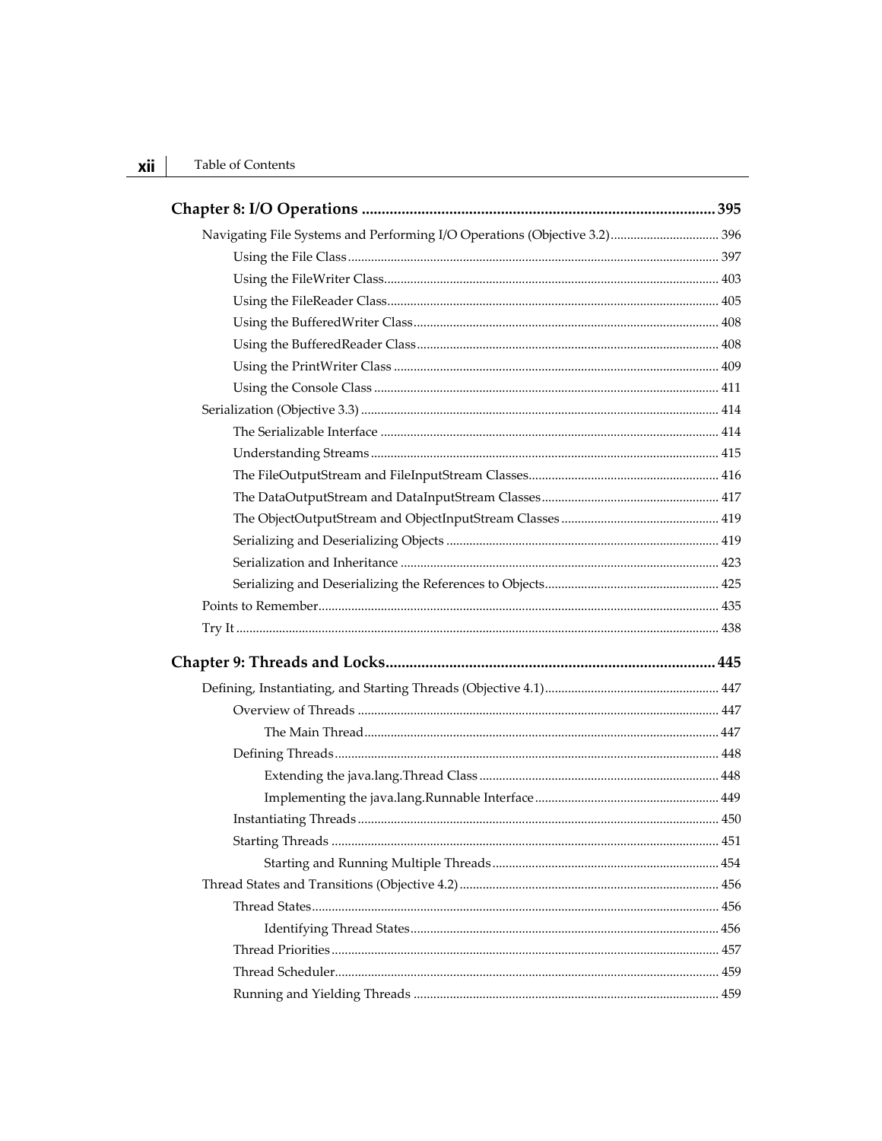| Navigating File Systems and Performing I/O Operations (Objective 3.2) 396 |  |
|---------------------------------------------------------------------------|--|
|                                                                           |  |
|                                                                           |  |
|                                                                           |  |
|                                                                           |  |
|                                                                           |  |
|                                                                           |  |
|                                                                           |  |
|                                                                           |  |
|                                                                           |  |
|                                                                           |  |
|                                                                           |  |
|                                                                           |  |
|                                                                           |  |
|                                                                           |  |
|                                                                           |  |
|                                                                           |  |
|                                                                           |  |
|                                                                           |  |
|                                                                           |  |
|                                                                           |  |
|                                                                           |  |
|                                                                           |  |
|                                                                           |  |
|                                                                           |  |
|                                                                           |  |
|                                                                           |  |
|                                                                           |  |
|                                                                           |  |
|                                                                           |  |
|                                                                           |  |
|                                                                           |  |
|                                                                           |  |
|                                                                           |  |
|                                                                           |  |